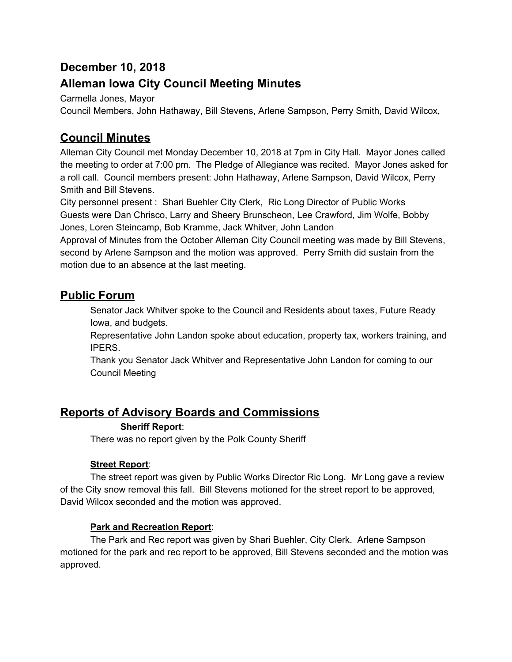# **December 10, 2018**

## **Alleman Iowa City Council Meeting Minutes**

Carmella Jones, Mayor

Council Members, John Hathaway, Bill Stevens, Arlene Sampson, Perry Smith, David Wilcox,

## **Council Minutes**

Alleman City Council met Monday December 10, 2018 at 7pm in City Hall. Mayor Jones called the meeting to order at 7:00 pm. The Pledge of Allegiance was recited. Mayor Jones asked for a roll call. Council members present: John Hathaway, Arlene Sampson, David Wilcox, Perry Smith and Bill Stevens.

City personnel present : Shari Buehler City Clerk, Ric Long Director of Public Works Guests were Dan Chrisco, Larry and Sheery Brunscheon, Lee Crawford, Jim Wolfe, Bobby Jones, Loren Steincamp, Bob Kramme, Jack Whitver, John Landon

Approval of Minutes from the October Alleman City Council meeting was made by Bill Stevens, second by Arlene Sampson and the motion was approved. Perry Smith did sustain from the motion due to an absence at the last meeting.

## **Public Forum**

Senator Jack Whitver spoke to the Council and Residents about taxes, Future Ready Iowa, and budgets.

Representative John Landon spoke about education, property tax, workers training, and IPERS.

Thank you Senator Jack Whitver and Representative John Landon for coming to our Council Meeting

# **Reports of Advisory Boards and Commissions**

### **Sheriff Report**:

There was no report given by the Polk County Sheriff

### **Street Report**:

The street report was given by Public Works Director Ric Long. Mr Long gave a review of the City snow removal this fall. Bill Stevens motioned for the street report to be approved, David Wilcox seconded and the motion was approved.

### **Park and Recreation Report**:

The Park and Rec report was given by Shari Buehler, City Clerk. Arlene Sampson motioned for the park and rec report to be approved, Bill Stevens seconded and the motion was approved.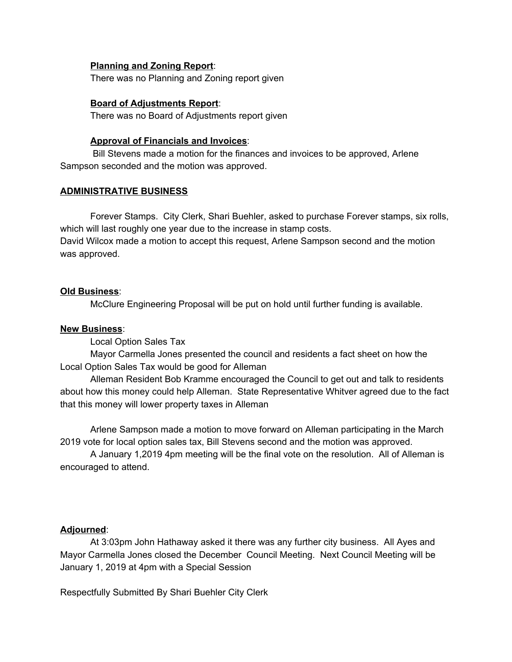#### **Planning and Zoning Report**:

There was no Planning and Zoning report given

#### **Board of Adjustments Report**:

There was no Board of Adjustments report given

#### **Approval of Financials and Invoices**:

Bill Stevens made a motion for the finances and invoices to be approved, Arlene Sampson seconded and the motion was approved.

#### **ADMINISTRATIVE BUSINESS**

Forever Stamps. City Clerk, Shari Buehler, asked to purchase Forever stamps, six rolls, which will last roughly one year due to the increase in stamp costs.

David Wilcox made a motion to accept this request, Arlene Sampson second and the motion was approved.

#### **Old Business**:

McClure Engineering Proposal will be put on hold until further funding is available.

#### **New Business**:

Local Option Sales Tax

Mayor Carmella Jones presented the council and residents a fact sheet on how the Local Option Sales Tax would be good for Alleman

Alleman Resident Bob Kramme encouraged the Council to get out and talk to residents about how this money could help Alleman. State Representative Whitver agreed due to the fact that this money will lower property taxes in Alleman

Arlene Sampson made a motion to move forward on Alleman participating in the March 2019 vote for local option sales tax, Bill Stevens second and the motion was approved.

A January 1,2019 4pm meeting will be the final vote on the resolution. All of Alleman is encouraged to attend.

#### **Adjourned**:

At 3:03pm John Hathaway asked it there was any further city business. All Ayes and Mayor Carmella Jones closed the December Council Meeting. Next Council Meeting will be January 1, 2019 at 4pm with a Special Session

Respectfully Submitted By Shari Buehler City Clerk